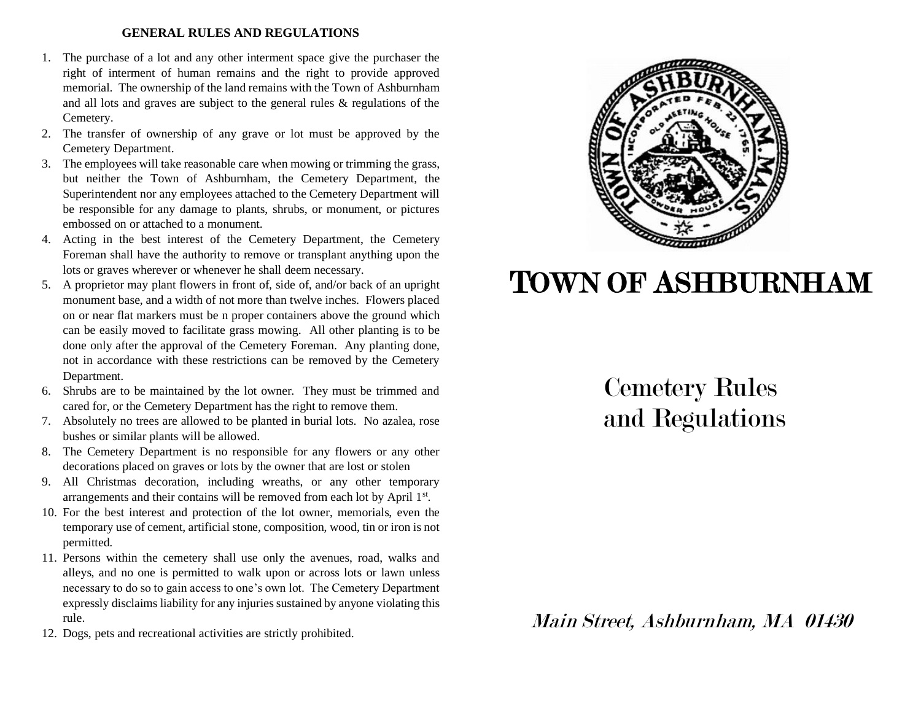## **GENERAL RULES AND REGULATIONS**

- 1. The purchase of a lot and any other interment space give the purchaser the right of interment of human remains and the right to provide approved memorial. The ownership of the land remains with the Town of Ashburnham and all lots and graves are subject to the general rules & regulations of the Cemetery.
- 2. The transfer of ownership of any grave or lot must be approved by the Cemetery Department.
- 3. The employees will take reasonable care when mowing or trimming the grass, but neither the Town of Ashburnham, the Cemetery Department, the Superintendent nor any employees attached to the Cemetery Department will be responsible for any damage to plants, shrubs, or monument, or pictures embossed on or attached to a monument.
- 4. Acting in the best interest of the Cemetery Department, the Cemetery Foreman shall have the authority to remove or transplant anything upon the lots or graves wherever or whenever he shall deem necessary.
- 5. A proprietor may plant flowers in front of, side of, and/or back of an upright monument base, and a width of not more than twelve inches. Flowers placed on or near flat markers must be n proper containers above the ground which can be easily moved to facilitate grass mowing. All other planting is to be done only after the approval of the Cemetery Foreman. Any planting done, not in accordance with these restrictions can be removed by the Cemetery Department.
- 6. Shrubs are to be maintained by the lot owner. They must be trimmed and cared for, or the Cemetery Department has the right to remove them.
- 7. Absolutely no trees are allowed to be planted in burial lots. No azalea, rose bushes or similar plants will be allowed.
- 8. The Cemetery Department is no responsible for any flowers or any other decorations placed on graves or lots by the owner that are lost or stolen
- 9. All Christmas decoration, including wreaths, or any other temporary arrangements and their contains will be removed from each lot by April 1st.
- 10. For the best interest and protection of the lot owner, memorials, even the temporary use of cement, artificial stone, composition, wood, tin or iron is not permitted.
- 11. Persons within the cemetery shall use only the avenues, road, walks and alleys, and no one is permitted to walk upon or across lots or lawn unless necessary to do so to gain access to one's own lot. The Cemetery Department expressly disclaims liability for any injuries sustained by anyone violating this rule.
- 12. Dogs, pets and recreational activities are strictly prohibited.



# TOWN OF ASHBURNHAM

## Cemetery Rules and Regulations

Main Street, Ashburnham, MA 01430